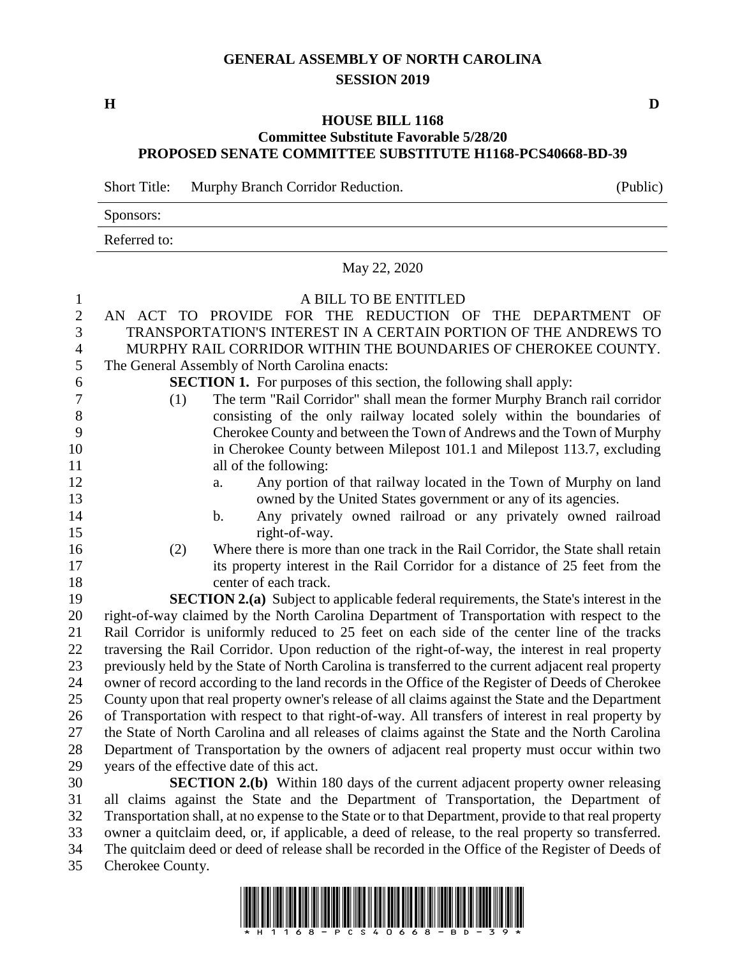## **GENERAL ASSEMBLY OF NORTH CAROLINA SESSION 2019**

**H D**

## **HOUSE BILL 1168 Committee Substitute Favorable 5/28/20 PROPOSED SENATE COMMITTEE SUBSTITUTE H1168-PCS40668-BD-39**

Short Title: Murphy Branch Corridor Reduction. (Public)

|              | . . |  |
|--------------|-----|--|
| Sponsors:    |     |  |
| Referred to: |     |  |

May 22, 2020

| $\sqrt{2}$       | AN ACT TO PROVIDE FOR THE REDUCTION OF THE DEPARTMENT OF                                              |
|------------------|-------------------------------------------------------------------------------------------------------|
| $\overline{3}$   | TRANSPORTATION'S INTEREST IN A CERTAIN PORTION OF THE ANDREWS TO                                      |
| $\overline{4}$   | MURPHY RAIL CORRIDOR WITHIN THE BOUNDARIES OF CHEROKEE COUNTY.                                        |
| 5                | The General Assembly of North Carolina enacts:                                                        |
| 6                | <b>SECTION 1.</b> For purposes of this section, the following shall apply:                            |
| $\boldsymbol{7}$ | The term "Rail Corridor" shall mean the former Murphy Branch rail corridor<br>(1)                     |
| 8                | consisting of the only railway located solely within the boundaries of                                |
| 9                | Cherokee County and between the Town of Andrews and the Town of Murphy                                |
| 10               | in Cherokee County between Milepost 101.1 and Milepost 113.7, excluding                               |
| 11               | all of the following:                                                                                 |
| 12               | Any portion of that railway located in the Town of Murphy on land<br>a.                               |
| 13               | owned by the United States government or any of its agencies.                                         |
| 14               | Any privately owned railroad or any privately owned railroad<br>b.                                    |
| 15               | right-of-way.                                                                                         |
| 16               | Where there is more than one track in the Rail Corridor, the State shall retain<br>(2)                |
| 17               | its property interest in the Rail Corridor for a distance of 25 feet from the                         |
| 18               | center of each track.                                                                                 |
| 19               | <b>SECTION 2.(a)</b> Subject to applicable federal requirements, the State's interest in the          |
| 20               | right-of-way claimed by the North Carolina Department of Transportation with respect to the           |
| 21               | Rail Corridor is uniformly reduced to 25 feet on each side of the center line of the tracks           |
| 22               | traversing the Rail Corridor. Upon reduction of the right-of-way, the interest in real property       |
| 23               | previously held by the State of North Carolina is transferred to the current adjacent real property   |
| 24               | owner of record according to the land records in the Office of the Register of Deeds of Cherokee      |
| 25               | County upon that real property owner's release of all claims against the State and the Department     |
| 26               | of Transportation with respect to that right-of-way. All transfers of interest in real property by    |
| 27               | the State of North Carolina and all releases of claims against the State and the North Carolina       |
| 28               | Department of Transportation by the owners of adjacent real property must occur within two            |
| 29               | years of the effective date of this act.                                                              |
| 30               | <b>SECTION 2.(b)</b> Within 180 days of the current adjacent property owner releasing                 |
| 31               | all claims against the State and the Department of Transportation, the Department of                  |
| 32               | Transportation shall, at no expense to the State or to that Department, provide to that real property |
| 33               | owner a quitclaim deed, or, if applicable, a deed of release, to the real property so transferred.    |

 The quitclaim deed or deed of release shall be recorded in the Office of the Register of Deeds of Cherokee County.